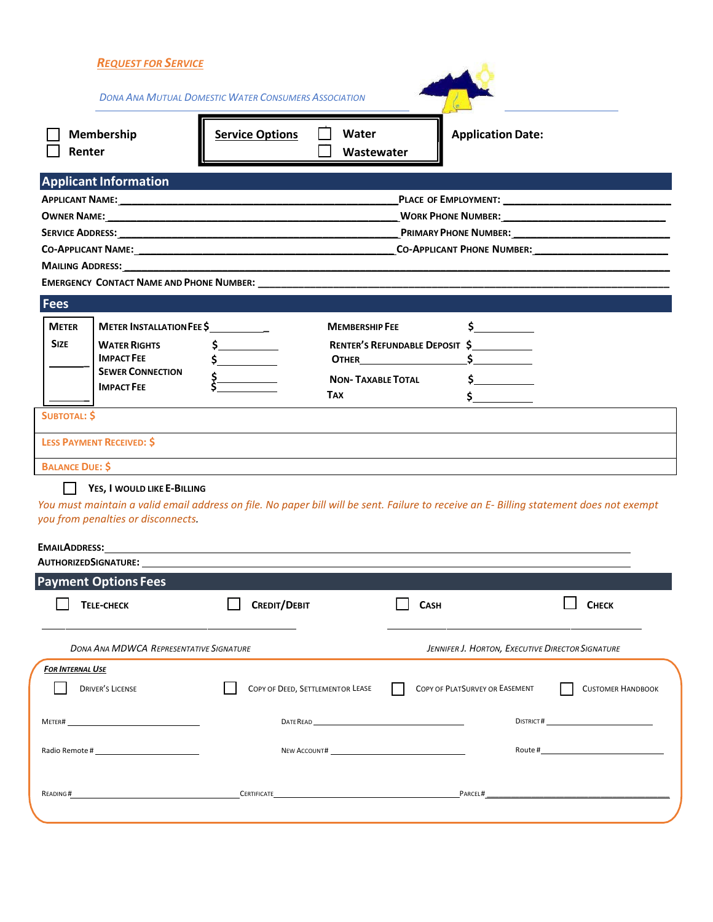| <b>DONA ANA MUTUAL DOMESTIC WATER CONSUMERS ASSOCIATION</b><br>Membership<br><b>Service Options</b><br><b>Application Date:</b><br>Water<br>Renter<br>Wastewater<br><b>Applicant Information</b><br>WORK PHONE NUMBER:<br><b>Fees</b><br><b>METER</b><br>METER INSTALLATION FEE \$<br><b>MEMBERSHIP FEE</b><br><b>SIZE</b><br><b>WATER RIGHTS</b><br>RENTER'S REFUNDABLE DEPOSIT \$<br><b>IMPACT FEE</b><br><b>OTHER CONTROLLER</b><br><b>SEWER CONNECTION</b><br>$\sharp$ and $\sharp$<br><b>NON-TAXABLE TOTAL</b><br><b>IMPACT FEE</b><br><b>TAX</b><br><b>SUBTOTAL: \$</b><br><b>LESS PAYMENT RECEIVED: \$</b><br>the contract of the contract of the contract of the contract of the contract of the contract of the contract of<br><b>BALANCE DUE: \$</b><br>YES, I WOULD LIKE E-BILLING<br>You must maintain a valid email address on file. No paper bill will be sent. Failure to receive an E- Billing statement does not exempt<br>you from penalties or disconnects.<br><b>EMAILADDRESS:</b><br>AUTHORIZEDSIGNATURE: 1988<br><b>Payment Options Fees</b><br><b>TELE-CHECK</b><br><b>CREDIT/DEBIT</b><br>Снеск<br><b>CASH</b><br><b>DONA ANA MDWCA REPRESENTATIVE SIGNATURE</b><br>JENNIFER J. HORTON, EXECUTIVE DIRECTOR SIGNATURE<br>FOR INTERNAL USE<br>COPY OF DEED, SETTLEMENTOR LEASE<br><b>DRIVER'S LICENSE</b><br>COPY OF PLATSURVEY OR EASEMENT<br><b>CUSTOMER HANDBOOK</b><br>DISTRICT#<br><u> 1980 - Johann Barn, mars ann an t-Amhain Aonaich an t-Aonaich an t-Aonaich ann an t-Aonaich ann an t-Aonaich</u><br>Meter#<br>CERTIFICATE <b>CONSUMING CONTRACT CONSUMING CONTRACT</b><br>PARCEL#<br>READING# | <b>REQUEST FOR SERVICE</b> |  |  |  |
|---------------------------------------------------------------------------------------------------------------------------------------------------------------------------------------------------------------------------------------------------------------------------------------------------------------------------------------------------------------------------------------------------------------------------------------------------------------------------------------------------------------------------------------------------------------------------------------------------------------------------------------------------------------------------------------------------------------------------------------------------------------------------------------------------------------------------------------------------------------------------------------------------------------------------------------------------------------------------------------------------------------------------------------------------------------------------------------------------------------------------------------------------------------------------------------------------------------------------------------------------------------------------------------------------------------------------------------------------------------------------------------------------------------------------------------------------------------------------------------------------------------------------------------------------------------------------------------------------------------------------------|----------------------------|--|--|--|
|                                                                                                                                                                                                                                                                                                                                                                                                                                                                                                                                                                                                                                                                                                                                                                                                                                                                                                                                                                                                                                                                                                                                                                                                                                                                                                                                                                                                                                                                                                                                                                                                                                 |                            |  |  |  |
|                                                                                                                                                                                                                                                                                                                                                                                                                                                                                                                                                                                                                                                                                                                                                                                                                                                                                                                                                                                                                                                                                                                                                                                                                                                                                                                                                                                                                                                                                                                                                                                                                                 |                            |  |  |  |
|                                                                                                                                                                                                                                                                                                                                                                                                                                                                                                                                                                                                                                                                                                                                                                                                                                                                                                                                                                                                                                                                                                                                                                                                                                                                                                                                                                                                                                                                                                                                                                                                                                 |                            |  |  |  |
|                                                                                                                                                                                                                                                                                                                                                                                                                                                                                                                                                                                                                                                                                                                                                                                                                                                                                                                                                                                                                                                                                                                                                                                                                                                                                                                                                                                                                                                                                                                                                                                                                                 |                            |  |  |  |
|                                                                                                                                                                                                                                                                                                                                                                                                                                                                                                                                                                                                                                                                                                                                                                                                                                                                                                                                                                                                                                                                                                                                                                                                                                                                                                                                                                                                                                                                                                                                                                                                                                 |                            |  |  |  |
|                                                                                                                                                                                                                                                                                                                                                                                                                                                                                                                                                                                                                                                                                                                                                                                                                                                                                                                                                                                                                                                                                                                                                                                                                                                                                                                                                                                                                                                                                                                                                                                                                                 |                            |  |  |  |
|                                                                                                                                                                                                                                                                                                                                                                                                                                                                                                                                                                                                                                                                                                                                                                                                                                                                                                                                                                                                                                                                                                                                                                                                                                                                                                                                                                                                                                                                                                                                                                                                                                 |                            |  |  |  |
|                                                                                                                                                                                                                                                                                                                                                                                                                                                                                                                                                                                                                                                                                                                                                                                                                                                                                                                                                                                                                                                                                                                                                                                                                                                                                                                                                                                                                                                                                                                                                                                                                                 |                            |  |  |  |
|                                                                                                                                                                                                                                                                                                                                                                                                                                                                                                                                                                                                                                                                                                                                                                                                                                                                                                                                                                                                                                                                                                                                                                                                                                                                                                                                                                                                                                                                                                                                                                                                                                 |                            |  |  |  |
|                                                                                                                                                                                                                                                                                                                                                                                                                                                                                                                                                                                                                                                                                                                                                                                                                                                                                                                                                                                                                                                                                                                                                                                                                                                                                                                                                                                                                                                                                                                                                                                                                                 |                            |  |  |  |
|                                                                                                                                                                                                                                                                                                                                                                                                                                                                                                                                                                                                                                                                                                                                                                                                                                                                                                                                                                                                                                                                                                                                                                                                                                                                                                                                                                                                                                                                                                                                                                                                                                 |                            |  |  |  |
|                                                                                                                                                                                                                                                                                                                                                                                                                                                                                                                                                                                                                                                                                                                                                                                                                                                                                                                                                                                                                                                                                                                                                                                                                                                                                                                                                                                                                                                                                                                                                                                                                                 |                            |  |  |  |
|                                                                                                                                                                                                                                                                                                                                                                                                                                                                                                                                                                                                                                                                                                                                                                                                                                                                                                                                                                                                                                                                                                                                                                                                                                                                                                                                                                                                                                                                                                                                                                                                                                 |                            |  |  |  |
|                                                                                                                                                                                                                                                                                                                                                                                                                                                                                                                                                                                                                                                                                                                                                                                                                                                                                                                                                                                                                                                                                                                                                                                                                                                                                                                                                                                                                                                                                                                                                                                                                                 |                            |  |  |  |
|                                                                                                                                                                                                                                                                                                                                                                                                                                                                                                                                                                                                                                                                                                                                                                                                                                                                                                                                                                                                                                                                                                                                                                                                                                                                                                                                                                                                                                                                                                                                                                                                                                 |                            |  |  |  |
|                                                                                                                                                                                                                                                                                                                                                                                                                                                                                                                                                                                                                                                                                                                                                                                                                                                                                                                                                                                                                                                                                                                                                                                                                                                                                                                                                                                                                                                                                                                                                                                                                                 |                            |  |  |  |
|                                                                                                                                                                                                                                                                                                                                                                                                                                                                                                                                                                                                                                                                                                                                                                                                                                                                                                                                                                                                                                                                                                                                                                                                                                                                                                                                                                                                                                                                                                                                                                                                                                 |                            |  |  |  |
|                                                                                                                                                                                                                                                                                                                                                                                                                                                                                                                                                                                                                                                                                                                                                                                                                                                                                                                                                                                                                                                                                                                                                                                                                                                                                                                                                                                                                                                                                                                                                                                                                                 |                            |  |  |  |
|                                                                                                                                                                                                                                                                                                                                                                                                                                                                                                                                                                                                                                                                                                                                                                                                                                                                                                                                                                                                                                                                                                                                                                                                                                                                                                                                                                                                                                                                                                                                                                                                                                 |                            |  |  |  |
|                                                                                                                                                                                                                                                                                                                                                                                                                                                                                                                                                                                                                                                                                                                                                                                                                                                                                                                                                                                                                                                                                                                                                                                                                                                                                                                                                                                                                                                                                                                                                                                                                                 |                            |  |  |  |
|                                                                                                                                                                                                                                                                                                                                                                                                                                                                                                                                                                                                                                                                                                                                                                                                                                                                                                                                                                                                                                                                                                                                                                                                                                                                                                                                                                                                                                                                                                                                                                                                                                 |                            |  |  |  |
|                                                                                                                                                                                                                                                                                                                                                                                                                                                                                                                                                                                                                                                                                                                                                                                                                                                                                                                                                                                                                                                                                                                                                                                                                                                                                                                                                                                                                                                                                                                                                                                                                                 |                            |  |  |  |
|                                                                                                                                                                                                                                                                                                                                                                                                                                                                                                                                                                                                                                                                                                                                                                                                                                                                                                                                                                                                                                                                                                                                                                                                                                                                                                                                                                                                                                                                                                                                                                                                                                 |                            |  |  |  |
|                                                                                                                                                                                                                                                                                                                                                                                                                                                                                                                                                                                                                                                                                                                                                                                                                                                                                                                                                                                                                                                                                                                                                                                                                                                                                                                                                                                                                                                                                                                                                                                                                                 |                            |  |  |  |
|                                                                                                                                                                                                                                                                                                                                                                                                                                                                                                                                                                                                                                                                                                                                                                                                                                                                                                                                                                                                                                                                                                                                                                                                                                                                                                                                                                                                                                                                                                                                                                                                                                 |                            |  |  |  |
|                                                                                                                                                                                                                                                                                                                                                                                                                                                                                                                                                                                                                                                                                                                                                                                                                                                                                                                                                                                                                                                                                                                                                                                                                                                                                                                                                                                                                                                                                                                                                                                                                                 |                            |  |  |  |